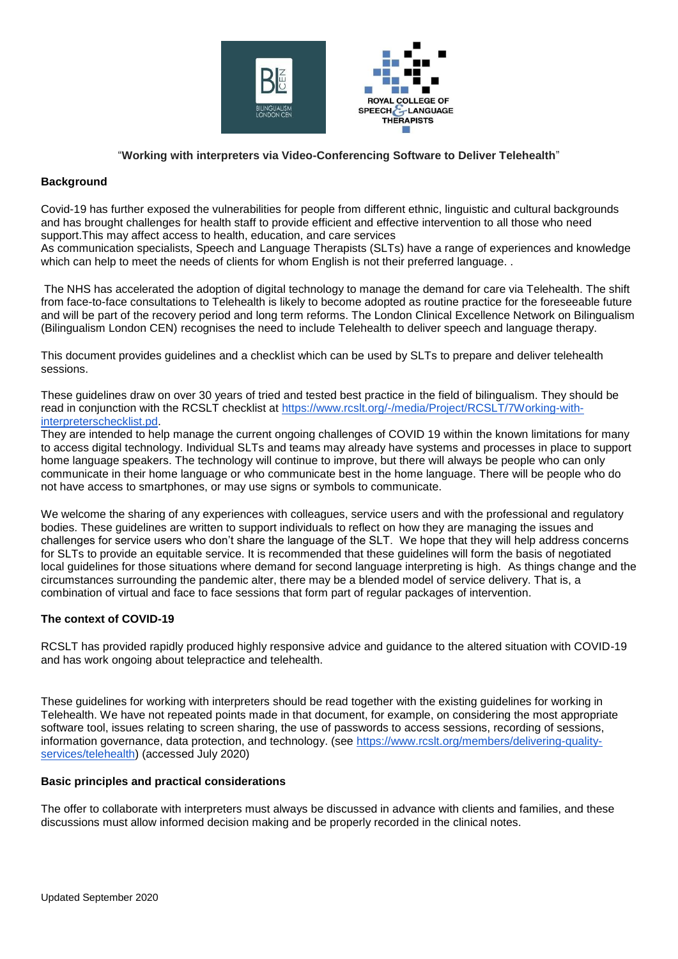

# "**Working with interpreters via Video-Conferencing Software to Deliver Telehealth**"

# **Background**

Covid-19 has further exposed the vulnerabilities for people from different ethnic, linguistic and cultural backgrounds and has brought challenges for health staff to provide efficient and effective intervention to all those who need support.This may affect access to health, education, and care services

As communication specialists, Speech and Language Therapists (SLTs) have a range of experiences and knowledge which can help to meet the needs of clients for whom English is not their preferred language. .

The NHS has accelerated the adoption of digital technology to manage the demand for care via Telehealth. The shift from face-to-face consultations to Telehealth is likely to become adopted as routine practice for the foreseeable future and will be part of the recovery period and long term reforms. The London Clinical Excellence Network on Bilingualism (Bilingualism London CEN) recognises the need to include Telehealth to deliver speech and language therapy.

This document provides guidelines and a checklist which can be used by SLTs to prepare and deliver telehealth sessions.

These guidelines draw on over 30 years of tried and tested best practice in the field of bilingualism. They should be read in conjunction with the RCSLT checklist at [https://www.rcslt.org/-/media/Project/RCSLT/7Working-with](https://www.rcslt.org/-/media/Project/RCSLT/7Working-with-interpreterschecklist.pdf)[interpreterschecklist.pd.](https://www.rcslt.org/-/media/Project/RCSLT/7Working-with-interpreterschecklist.pdf)

They are intended to help manage the current ongoing challenges of COVID 19 within the known limitations for many to access digital technology. Individual SLTs and teams may already have systems and processes in place to support home language speakers. The technology will continue to improve, but there will always be people who can only communicate in their home language or who communicate best in the home language. There will be people who do not have access to smartphones, or may use signs or symbols to communicate.

We welcome the sharing of any experiences with colleagues, service users and with the professional and regulatory bodies. These guidelines are written to support individuals to reflect on how they are managing the issues and challenges for service users who don't share the language of the SLT. We hope that they will help address concerns for SLTs to provide an equitable service. It is recommended that these guidelines will form the basis of negotiated local guidelines for those situations where demand for second language interpreting is high. As things change and the circumstances surrounding the pandemic alter, there may be a blended model of service delivery. That is, a combination of virtual and face to face sessions that form part of regular packages of intervention.

# **The context of COVID-19**

RCSLT has provided rapidly produced highly responsive advice and guidance to the altered situation with COVID-19 and has work ongoing about telepractice and telehealth.

These guidelines for working with interpreters should be read together with the existing guidelines for working in Telehealth. We have not repeated points made in that document, for example, on considering the most appropriate software tool, issues relating to screen sharing, the use of passwords to access sessions, recording of sessions, information governance, data protection, and technology. (see [https://www.rcslt.org/members/delivering-quality](https://www.rcslt.org/members/delivering-quality-services/telehealth)[services/telehealth\)](https://www.rcslt.org/members/delivering-quality-services/telehealth) (accessed July 2020)

## **Basic principles and practical considerations**

The offer to collaborate with interpreters must always be discussed in advance with clients and families, and these discussions must allow informed decision making and be properly recorded in the clinical notes.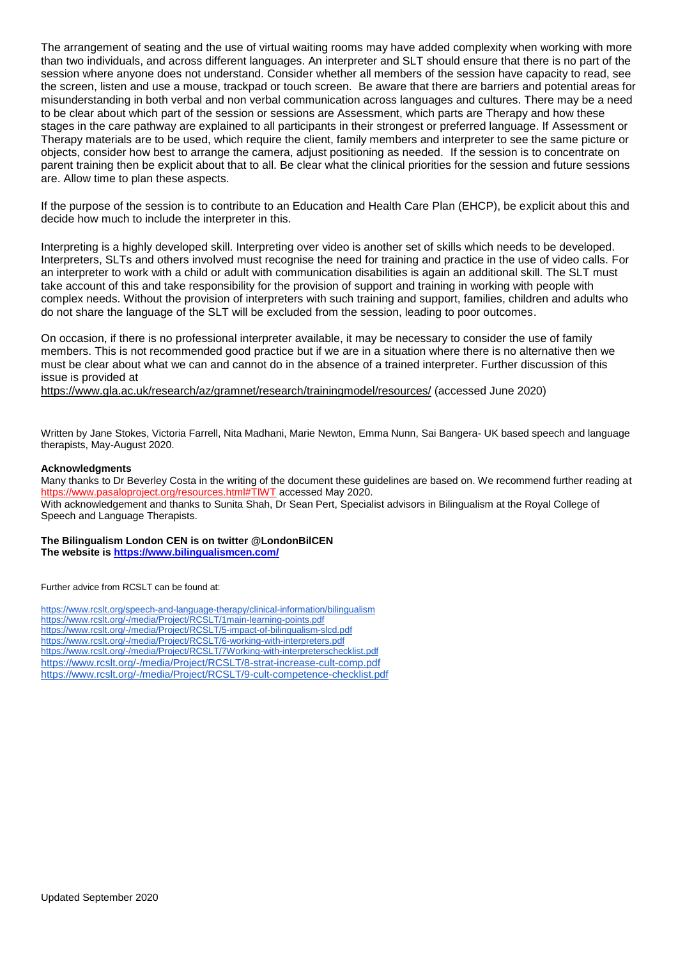The arrangement of seating and the use of virtual waiting rooms may have added complexity when working with more than two individuals, and across different languages. An interpreter and SLT should ensure that there is no part of the session where anyone does not understand. Consider whether all members of the session have capacity to read, see the screen, listen and use a mouse, trackpad or touch screen. Be aware that there are barriers and potential areas for misunderstanding in both verbal and non verbal communication across languages and cultures. There may be a need to be clear about which part of the session or sessions are Assessment, which parts are Therapy and how these stages in the care pathway are explained to all participants in their strongest or preferred language. If Assessment or Therapy materials are to be used, which require the client, family members and interpreter to see the same picture or objects, consider how best to arrange the camera, adjust positioning as needed. If the session is to concentrate on parent training then be explicit about that to all. Be clear what the clinical priorities for the session and future sessions are. Allow time to plan these aspects.

If the purpose of the session is to contribute to an Education and Health Care Plan (EHCP), be explicit about this and decide how much to include the interpreter in this.

Interpreting is a highly developed skill. Interpreting over video is another set of skills which needs to be developed. Interpreters, SLTs and others involved must recognise the need for training and practice in the use of video calls. For an interpreter to work with a child or adult with communication disabilities is again an additional skill. The SLT must take account of this and take responsibility for the provision of support and training in working with people with complex needs. Without the provision of interpreters with such training and support, families, children and adults who do not share the language of the SLT will be excluded from the session, leading to poor outcomes.

On occasion, if there is no professional interpreter available, it may be necessary to consider the use of family members. This is not recommended good practice but if we are in a situation where there is no alternative then we must be clear about what we can and cannot do in the absence of a trained interpreter. Further discussion of this issue is provided at

<https://www.gla.ac.uk/research/az/gramnet/research/trainingmodel/resources/> (accessed June 2020)

Written by Jane Stokes, Victoria Farrell, Nita Madhani, Marie Newton, Emma Nunn, Sai Bangera- UK based speech and language therapists, May-August 2020.

#### **Acknowledgments**

Many thanks to Dr Beverley Costa in the writing of the document these guidelines are based on. We recommend further reading at [https://www.pasaloproject.org/resources.html#TIWT](https://www.pasaloproject.org/resources.html) accessed May 2020. With acknowledgement and thanks to Sunita Shah, Dr Sean Pert, Specialist advisors in Bilingualism at the Royal College of Speech and Language Therapists.

**The Bilingualism London CEN is on twitter @LondonBilCEN The website is<https://www.bilingualismcen.com/>**

Further advice from RCSLT can be found at:

<https://www.rcslt.org/speech-and-language-therapy/clinical-information/bilingualism> <https://www.rcslt.org/-/media/Project/RCSLT/1main-learning-points.pdf> <https://www.rcslt.org/-/media/Project/RCSLT/5-impact-of-bilingualism-slcd.pdf> <https://www.rcslt.org/-/media/Project/RCSLT/6-working-with-interpreters.pdf> <https://www.rcslt.org/-/media/Project/RCSLT/7Working-with-interpreterschecklist.pdf> <https://www.rcslt.org/-/media/Project/RCSLT/8-strat-increase-cult-comp.pdf> <https://www.rcslt.org/-/media/Project/RCSLT/9-cult-competence-checklist.pdf>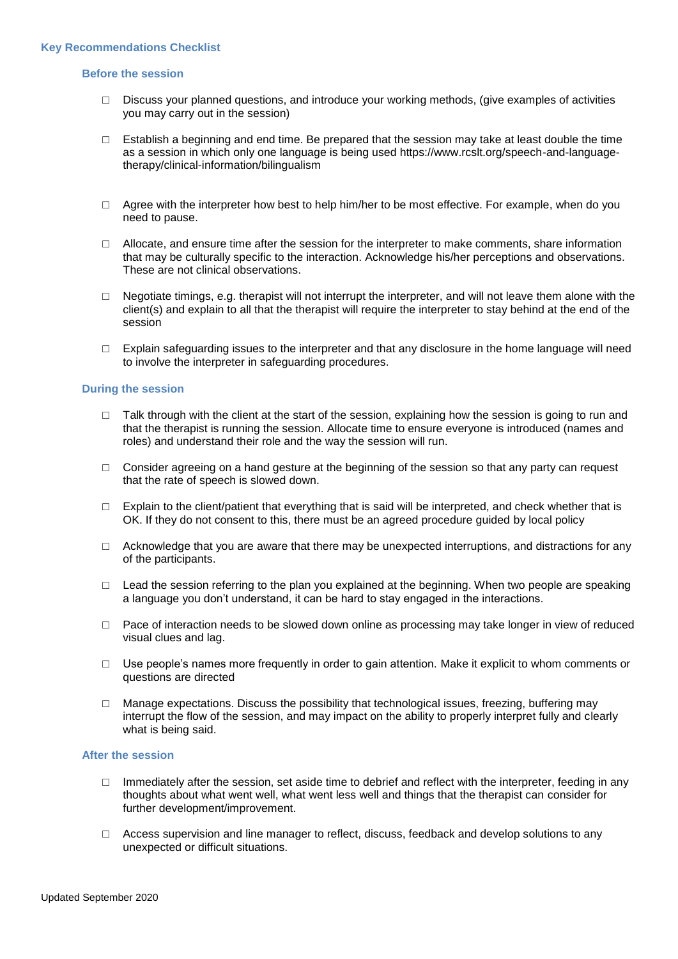### **Before the session**

- □ Discuss your planned questions, and introduce your working methods, (give examples of activities you may carry out in the session)
- $\Box$  Establish a beginning and end time. Be prepared that the session may take at least double the time as a session in which only one language is being used https://www.rcslt.org/speech-and-languagetherapy/clinical-information/bilingualism
- $\Box$  Agree with the interpreter how best to help him/her to be most effective. For example, when do you need to pause.
- $\Box$  Allocate, and ensure time after the session for the interpreter to make comments, share information that may be culturally specific to the interaction. Acknowledge his/her perceptions and observations. These are not clinical observations.
- $\Box$  Negotiate timings, e.g. therapist will not interrupt the interpreter, and will not leave them alone with the client(s) and explain to all that the therapist will require the interpreter to stay behind at the end of the session
- $\Box$  Explain safeguarding issues to the interpreter and that any disclosure in the home language will need to involve the interpreter in safeguarding procedures.

### **During the session**

- $\Box$  Talk through with the client at the start of the session, explaining how the session is going to run and that the therapist is running the session. Allocate time to ensure everyone is introduced (names and roles) and understand their role and the way the session will run.
- □ Consider agreeing on a hand gesture at the beginning of the session so that any party can request that the rate of speech is slowed down.
- $\Box$  Explain to the client/patient that everything that is said will be interpreted, and check whether that is OK. If they do not consent to this, there must be an agreed procedure guided by local policy
- $\Box$  Acknowledge that you are aware that there may be unexpected interruptions, and distractions for any of the participants.
- $\Box$  Lead the session referring to the plan you explained at the beginning. When two people are speaking a language you don't understand, it can be hard to stay engaged in the interactions.
- □ Pace of interaction needs to be slowed down online as processing may take longer in view of reduced visual clues and lag.
- $\Box$  Use people's names more frequently in order to gain attention. Make it explicit to whom comments or questions are directed
- $\Box$  Manage expectations. Discuss the possibility that technological issues, freezing, buffering may interrupt the flow of the session, and may impact on the ability to properly interpret fully and clearly what is being said.

## **After the session**

- $\Box$  Immediately after the session, set aside time to debrief and reflect with the interpreter, feeding in any thoughts about what went well, what went less well and things that the therapist can consider for further development/improvement.
- $\Box$  Access supervision and line manager to reflect, discuss, feedback and develop solutions to any unexpected or difficult situations.